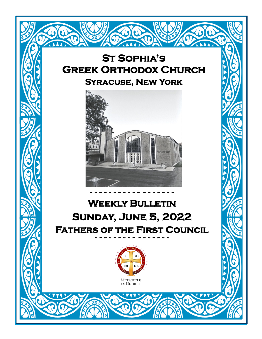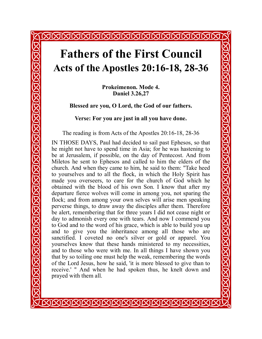# **Fathers of the First Council Acts of the Apostles 20:16-18, 28-36**

**AMMAMMAM** 

**Prokeimenon. Mode 4. Daniel 3.26,27**

**Blessed are you, O Lord, the God of our fathers.**

**Verse: For you are just in all you have done.**

The reading is from Acts of the Apostles 20:16-18, 28-36

IN THOSE DAYS, Paul had decided to sail past Ephesos, so that he might not have to spend time in Asia; for he was hastening to be at Jerusalem, if possible, on the day of Pentecost. And from Miletos he sent to Ephesos and called to him the elders of the church. And when they came to him, he said to them: "Take heed to yourselves and to all the flock, in which the Holy Spirit has made you overseers, to care for the church of God which he obtained with the blood of his own Son. I know that after my departure fierce wolves will come in among you, not sparing the flock; and from among your own selves will arise men speaking perverse things, to draw away the disciples after them. Therefore be alert, remembering that for three years I did not cease night or day to admonish every one with tears. And now I commend you to God and to the word of his grace, which is able to build you up and to give you the inheritance among all those who are sanctified. I coveted no one's silver or gold or apparel. You yourselves know that these hands ministered to my necessities, and to those who were with me. In all things I have shown you that by so toiling one must help the weak, remembering the words of the Lord Jesus, how he said, 'it is more blessed to give than to receive.' " And when he had spoken thus, he knelt down and prayed with them all.

KIKIKIKIKIKIKIKIKIKIKIKIKI

<u>STRING STRING STRING STRING STRING STRING STRING STRING STRI</u>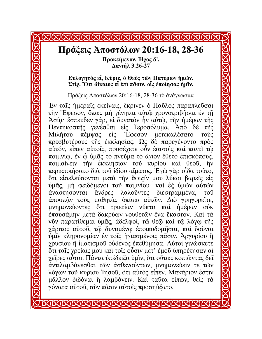#### MMMMMMMMMM **MMM Πράξεις Ἀποστόλων 20:16-18, 28-36 Προκείμενον. Ήχος δ'. Δανιήλ 3.26-27 Εὐλογητὸς εἶ, Κύριε, ὁ Θεὸς τῶν Πατέρων ἡμῶν. Στίχ. Ὅτι δίκαιος εἶ ἐπὶ πᾶσιν, οἷς ἐποίησας ἡμῖν.** Πράξεις Ἀποστόλων 20:16-18, 28-36 τὸ ἀνάγνωσμα Ἐν ταῖς ἡμεραῖς ἐκείναις, ἔκρινεν ὁ Παῦλος παραπλεῦσαι τὴν Ἔφεσον, ὅπως μὴ γένηται αὐτῷ χρονοτριβῆσαι ἐν τῇ Ἀσίᾳ· ἔσπευδεν γάρ, εἰ δυνατὸν ἦν αὐτῷ, τὴν ἡμέραν τῆς Πεντηκοστῆς γενέσθαι εἰς Ἱεροσόλυμα. Ἀπὸ δὲ τῆς Μιλήτου πέμψας εἰς Ἔφεσον μετεκαλέσατο τοὺς πρεσβυτέρους τῆς ἐκκλησίας. Ὡς δὲ παρεγένοντο πρὸς αὐτόν, εἶπεν αὐτοῖς, προσέχετε οὖν ἑαυτοῖς καὶ παντὶ τῷ ποιμνίῳ, ἐν ᾧ ὑμᾶς τὸ πνεῦμα τὸ ἅγιον ἔθετο ἐπισκόπους, ποιμαίνειν τὴν ἐκκλησίαν τοῦ κυρίου καὶ θεοῦ, ἣν περιεποιήσατο διὰ τοῦ ἰδίου αἵματος. Ἐγὼ γὰρ οἶδα τοῦτο, ὅτι εἰσελεύσονται μετὰ τὴν ἄφιξίν μου λύκοι βαρεῖς εἰς ὑμᾶς, μὴ φειδόμενοι τοῦ ποιμνίου· καὶ ἐξ ὑμῶν αὐτῶν ἀναστήσονται ἄνδρες λαλοῦντες διεστραμμένα, τοῦ ἀποσπᾷν τοὺς μαθητὰς ὀπίσω αὐτῶν. Διὸ γρηγορεῖτε, μνημονεύοντες ὅτι τριετίαν νύκτα καὶ ἡμέραν οὐκ ἐπαυσάμην μετὰ δακρύων νουθετῶν ἕνα ἕκαστον. Καὶ τὰ νῦν παρατίθεμαι ὑμᾶς, ἀδελφοί, τῷ θεῷ καὶ τῷ λόγῳ τῆς χάριτος αὐτοῦ, τῷ δυναμένῳ ἐποικοδομῆσαι, καὶ δοῦναι ὑμῖν κληρονομίαν ἐν τοῖς ἡγιασμένοις πᾶσιν. Ἀργυρίου ἢ χρυσίου ἢ ἱματισμοῦ οὐδενὸς ἐπεθύμησα. Αὐτοὶ γινώσκετε ὅτι ταῖς χρείαις μου καὶ τοῖς οὖσιν μετ' ἐμοῦ ὑπηρέτησαν αἱ χεῖρες αὗται. Πάντα ὑπέδειξα ὑμῖν, ὅτι οὕτως κοπιῶντας δεῖ ἀντιλαμβάνεσθαι τῶν ἀσθενούντων, μνημονεύειν τε τῶν λόγων τοῦ κυρίου Ἰησοῦ, ὅτι αὐτὸς εἶπεν, Μακάριόν ἐστιν μᾶλλον διδόναι ἢ λαμβάνειν. Καὶ ταῦτα εἰπών, θεὶς τὰ γόνατα αὐτοῦ, σὺν πᾶσιν αὐτοῖς προσηύξατο.

STETETETETETETETETETETETETETET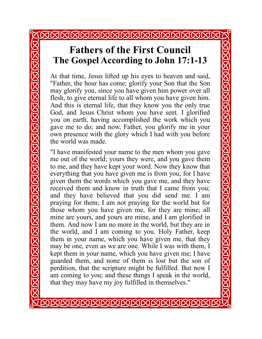### <u>JAJAKIA KIKIKIKIKIKIKIKIKIKIKIKIKI</u>

### **Fathers of the First Council The Gospel According to John 17:1-13**

At that time, Jesus lifted up his eyes to heaven and said, "Father, the hour has come; glorify your Son that the Son may glorify you, since you have given him power over all flesh, to give eternal life to all whom you have given him. And this is eternal life, that they know you the only true God, and Jesus Christ whom you have sent. I glorified you on earth, having accomplished the work which you gave me to do; and now, Father, you glorify me in your own presence with the glory which I had with you before the world was made.

"I have manifested your name to the men whom you gave me out of the world; yours they were, and you gave them to me, and they have kept your word. Now they know that everything that you have given me is from you; for I have given them the words which you gave me, and they have received them and know in truth that I came from you; and they have believed that you did send me. I am praying for them; I am not praying for the world but for those whom you have given me, for they are mine; all mine are yours, and yours are mine, and I am glorified in them. And now I am no more in the world, but they are in the world, and I am coming to you. Holy Father, keep them in your name, which you have given me, that they may be one, even as we are one. While I was with them, I kept them in your name, which you have given me; I have guarded them, and none of them is lost but the son of perdition, that the scripture might be fulfilled. But now I am coming to you; and these things I speak in the world, that they may have my joy fulfilled in themselves."

**SISISISISISISISISISISISISIS** 

<u>STRINGRING NG KING KING NG KING NG KING NG KING NG KING NG KI</u>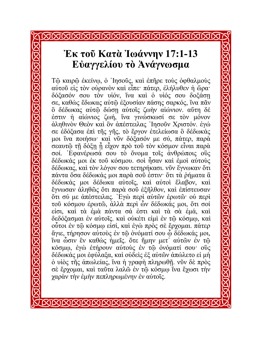## **Ἐκ τοῦ Κατὰ Ἰωάννην 17:1-13 Εὐαγγελίου τὸ Ἀνάγνωσμα**

Τῷ καιρῷ ἐκείνῳ, ὁ ᾿Ιησοῦς, καὶ ἐπῆρε τοὺς ὀφθαλμοὺς αὐτοῦ εἰς τὸν οὐρανὸν καὶ εἶπε· πάτερ, ἐλήλυθεν ἡ ὥρα· δόξασόν σου τὸν υἱόν, ἵνα καὶ ὁ υἱός σου δοξάσῃ σε, καθὼς ἔδωκας αὐτῷ ἐξουσίαν πάσης σαρκός, ἵνα πᾶν ὃ δέδωκας αὐτῷ δώσῃ αὐτοῖς ζωὴν αἰώνιον. αὕτη δέ ἐστιν ἡ αἰώνιος ζωή, ἵνα γινώσκωσί σε τὸν μόνον ἀληθινὸν Θεὸν καὶ ὃν ἀπέστειλας ᾿Ιησοῦν Χριστόν. ἐγώ σε ἐδόξασα ἐπὶ τῆς γῆς, τὸ ἔργον ἐτελείωσα ὃ δέδωκάς μοι ἵνα ποιήσω· καὶ νῦν δόξασόν με σύ, πάτερ, παρὰ σεαυτῷ τῇ δόξῃ ᾗ εἶχον πρὸ τοῦ τὸν κόσμον εἶναι παρὰ σοί. ᾿Εφανέρωσά σου τὸ ὄνομα τοῖς ἀνθρώποις οὓς δέδωκάς μοι ἐκ τοῦ κόσμου. σοὶ ἦσαν καὶ ἐμοὶ αὐτοὺς δέδωκας, καὶ τὸν λόγον σου τετηρήκασι. νῦν ἔγνωκαν ὅτι πάντα ὅσα δέδωκάς μοι παρὰ σοῦ ἐστιν· ὅτι τὰ ῥήματα ἃ δέδωκάς μοι δέδωκα αὐτοῖς, καὶ αὐτοὶ ἔλαβον, καὶ ἔγνωσαν ἀληθῶς ὅτι παρὰ σοῦ ἐξῆλθον, καὶ ἐπίστευσαν ὅτι σύ με ἀπέστειλας. ᾿Εγὼ περὶ αὐτῶν ἐρωτῶ· οὐ περὶ τοῦ κόσμου ἐρωτῶ, ἀλλὰ περὶ ὧν δέδωκάς μοι, ὅτι σοί εἰσι, καὶ τὰ ἐμὰ πάντα σά ἐστι καὶ τὰ σὰ ἐμά, καὶ δεδόξασμαι ἐν αὐτοῖς. καὶ οὐκέτι εἰμὶ ἐν τῷ κόσμῳ, καὶ οὗτοι ἐν τῷ κόσμῳ εἰσί, καὶ ἐγὼ πρὸς σὲ ἔρχομαι. πάτερ ἅγιε, τήρησον αὐτοὺς ἐν τῷ ὀνόματί σου ᾧ δέδωκάς μοι, ἵνα ὦσιν ἓν καθὼς ἡμεῖς. ὅτε ἤμην μετ᾽ αὐτῶν ἐν τῷ κόσμῳ, ἐγὼ ἐτήρουν αὐτοὺς ἐν τῷ ὀνόματί σου· οὓς δέδωκάς μοι ἐφύλαξα, καὶ οὐδεὶς ἐξ αὐτῶν ἀπώλετο εἰ μὴ ὁ υἱὸς τῆς ἀπωλείας, ἵνα ἡ γραφὴ πληρωθῇ. νῦν δὲ πρὸς σὲ ἔρχομαι, καὶ ταῦτα λαλῶ ἐν τῷ κόσμῳ ἵνα ἔχωσι τὴν χαρὰν τὴν ἐμὴν πεπληρωμένην ἐν αὐτοῖς.

<u>STRINGRING NG KING NG KING NG NG NG NG NG NG NG NG NG N</u>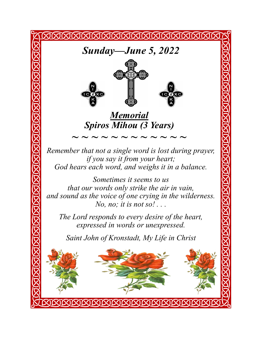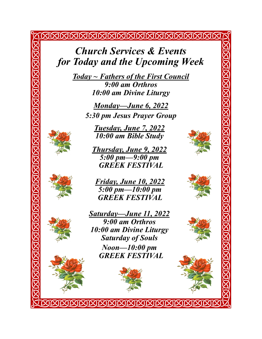*Church Services & Events for Today and the Upcoming Week*

<u>KIKIKIKIKIKIKIKIKIKIKIKIKIKIKIKI</u>

*Today ~ Fathers of the First Council 9:00 am Orthros 10:00 am Divine Liturgy*

> *Monday—June 6, 2022 5:30 pm Jesus Prayer Group*

*Tuesday, June 7, 2022 10:00 am Bible Study*

*Thursday, June 9, 2022 5:00 pm—9:00 pm GREEK FESTIVAL* 





KARA BARA KARA KARA KARA BARA KA KA



*Saturday—June 11, 2022 9:00 am Orthros 10:00 am Divine Liturgy Saturday of Souls Noon—10:00 pm GREEK FESTIVAL*